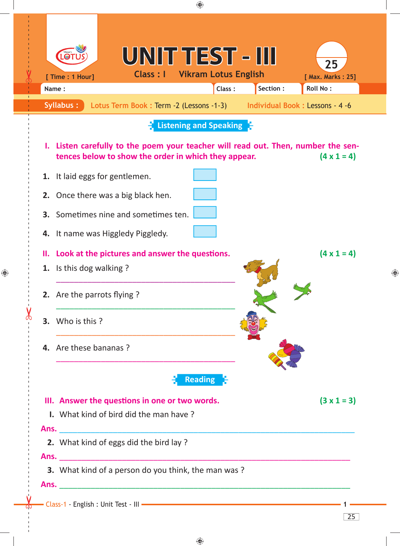